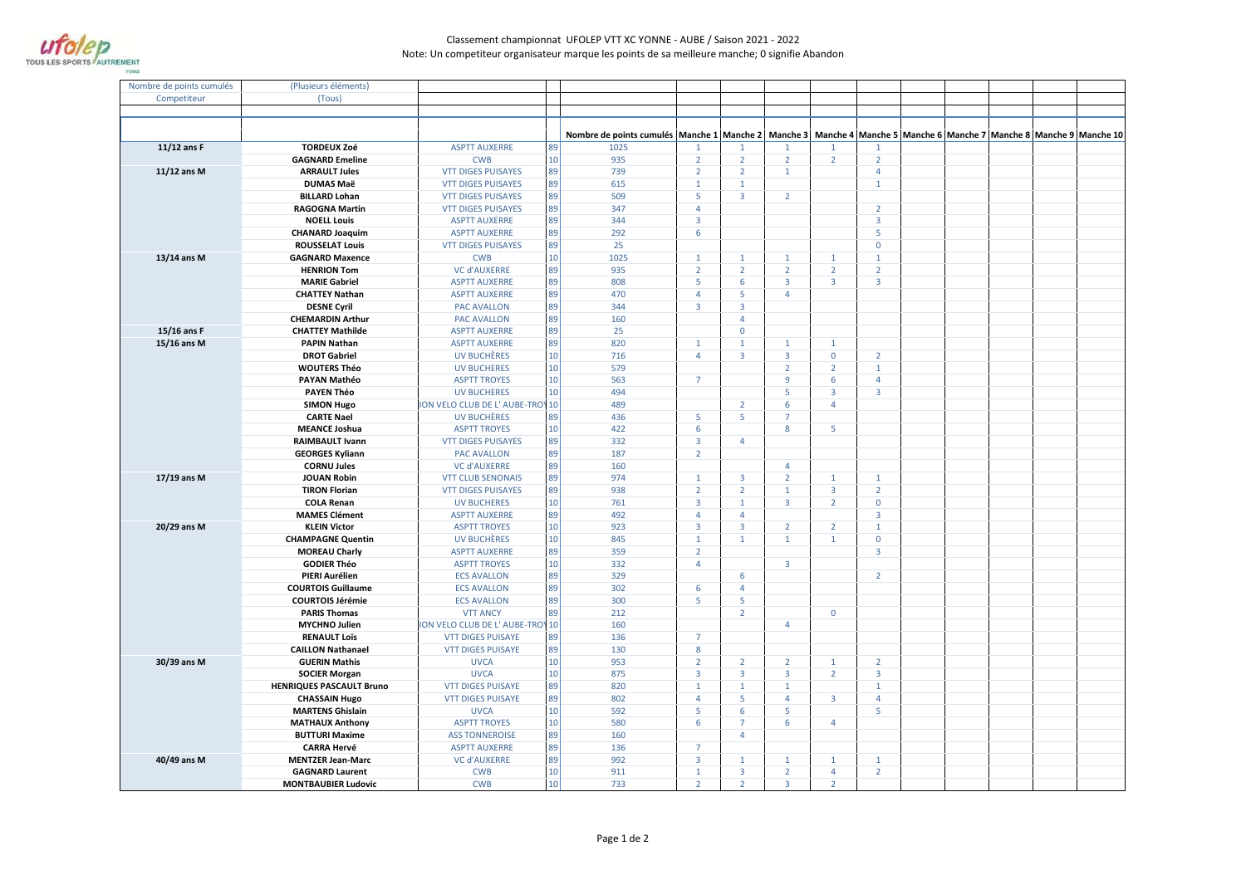

## Classement championnat UFOLEP VTT XC YONNE - AUBE / Saison 2021 - 2022Note: Un competiteur organisateur marque les points de sa meilleure manche; 0 signifie Abandon

| Nombre de points cumulés | (Plusieurs éléments)                               |                                           |          |                                                                                                                                         |                                |                                  |                                |                                |  |  |
|--------------------------|----------------------------------------------------|-------------------------------------------|----------|-----------------------------------------------------------------------------------------------------------------------------------------|--------------------------------|----------------------------------|--------------------------------|--------------------------------|--|--|
| Competiteur              | (Tous)                                             |                                           |          |                                                                                                                                         |                                |                                  |                                |                                |  |  |
|                          |                                                    |                                           |          |                                                                                                                                         |                                |                                  |                                |                                |  |  |
|                          |                                                    |                                           |          |                                                                                                                                         |                                |                                  |                                |                                |  |  |
|                          |                                                    |                                           |          | Nombre de points cumulés   Manche 1   Manche 2   Manche 3   Manche 4   Manche 5   Manche 6   Manche 7   Manche 8   Manche 9   Manche 10 |                                |                                  |                                |                                |  |  |
| $11/12$ ans F            | <b>TORDEUX Zoé</b>                                 | <b>ASPTT AUXERRE</b>                      | 89       | 1025                                                                                                                                    |                                | $\mathbf{1}$                     | 1                              | 1                              |  |  |
|                          | <b>GAGNARD Emeline</b>                             | <b>CWB</b>                                | 10       | 935<br>$\overline{2}$                                                                                                                   | $\overline{2}$                 | $\overline{2}$                   | $\overline{2}$                 | $\overline{2}$                 |  |  |
| 11/12 ans M              | <b>ARRAULT Jules</b>                               | <b>VTT DIGES PUISAYES</b>                 | 89       | 739<br>$\overline{2}$                                                                                                                   | $\overline{2}$                 | $\mathbf{1}$                     |                                | $\overline{4}$                 |  |  |
|                          | <b>DUMAS Maë</b>                                   | <b>VTT DIGES PUISAYES</b>                 | 89       | 615<br>$\mathbf{1}$                                                                                                                     | $\mathbf{1}$                   |                                  |                                | $\mathbf{1}$                   |  |  |
|                          | <b>BILLARD Lohan</b>                               | <b>VTT DIGES PUISAYES</b>                 | 89       | 509<br>5                                                                                                                                | $\overline{3}$                 | $\overline{2}$                   |                                |                                |  |  |
|                          | <b>RAGOGNA Martin</b>                              | <b>VTT DIGES PUISAYES</b>                 | 89       | 347<br>$\overline{4}$                                                                                                                   |                                |                                  |                                | $\overline{2}$                 |  |  |
|                          | <b>NOELL Louis</b>                                 | <b>ASPTT AUXERRE</b>                      | 89       | 344<br>$\overline{3}$                                                                                                                   |                                |                                  |                                | $\overline{3}$                 |  |  |
|                          | <b>CHANARD Joaquim</b>                             | <b>ASPTT AUXERRE</b>                      | 89       | 292<br>6                                                                                                                                |                                |                                  |                                | 5                              |  |  |
|                          | <b>ROUSSELAT Louis</b>                             | <b>VTT DIGES PUISAYES</b>                 | 89       | 25                                                                                                                                      |                                |                                  |                                | $\mathbf 0$                    |  |  |
| 13/14 ans M              | <b>GAGNARD Maxence</b>                             | <b>CWB</b>                                | 10       | 1025<br>$\mathbf{1}$                                                                                                                    | $\mathbf{1}$                   | $\mathbf{1}$                     | $\mathbf{1}$                   | $\mathbf{1}$                   |  |  |
|                          | <b>HENRION Tom</b>                                 | <b>VC d'AUXERRE</b>                       | 89       | 935<br>$\overline{2}$                                                                                                                   | $\overline{2}$                 | $\overline{2}$                   | $\overline{2}$                 | $\overline{2}$                 |  |  |
|                          | <b>MARIE Gabriel</b>                               | <b>ASPTT AUXERRE</b>                      | 89       | 808<br>5                                                                                                                                | 6                              | 3                                | $\overline{3}$                 | $\overline{3}$                 |  |  |
|                          | <b>CHATTEY Nathan</b>                              | <b>ASPTT AUXERRE</b>                      | 89       | 470<br>4                                                                                                                                | 5                              | 4                                |                                |                                |  |  |
|                          | <b>DESNE Cyril</b>                                 | <b>PAC AVALLON</b>                        | 89       | 344<br>$\overline{3}$                                                                                                                   | $\overline{3}$                 |                                  |                                |                                |  |  |
|                          | <b>CHEMARDIN Arthur</b>                            | <b>PAC AVALLON</b>                        | 89       | 160                                                                                                                                     | $\overline{4}$                 |                                  |                                |                                |  |  |
| 15/16 ans F              | <b>CHATTEY Mathilde</b>                            | <b>ASPTT AUXERRE</b>                      | 89       | 25                                                                                                                                      | $\mathbf 0$                    |                                  |                                |                                |  |  |
| 15/16 ans M              | <b>PAPIN Nathan</b>                                | <b>ASPTT AUXERRE</b>                      | 89       | 820<br>$\mathbf{1}$<br>$\overline{4}$                                                                                                   | $\mathbf{1}$<br>$\overline{3}$ | $\overline{1}$<br>$\overline{3}$ | $\mathbf{1}$<br>$\mathbf 0$    |                                |  |  |
|                          | <b>DROT Gabriel</b>                                | UV BUCHÈRES                               | 10<br>10 | 716<br>579                                                                                                                              |                                | $\overline{2}$                   | $\overline{2}$                 | $\overline{2}$<br>$\mathbf{1}$ |  |  |
|                          | <b>WOUTERS Théo</b><br>PAYAN Mathéo                | <b>UV BUCHERES</b><br><b>ASPTT TROYES</b> | 10       | 563<br>$\overline{7}$                                                                                                                   |                                | 9                                | 6                              | $\overline{4}$                 |  |  |
|                          | <b>PAYEN Théo</b>                                  | <b>UV BUCHERES</b>                        | 10       | 494                                                                                                                                     |                                | 5                                | $\overline{3}$                 | $\overline{3}$                 |  |  |
|                          | <b>SIMON Hugo</b>                                  | <b>ON VELO CLUB DE L' AUBE-TROY</b>       | 10       | 489                                                                                                                                     | $\overline{2}$                 | 6                                | $\overline{4}$                 |                                |  |  |
|                          | <b>CARTE Nael</b>                                  | <b>UV BUCHÈRES</b>                        | 89       | 436<br>5                                                                                                                                | 5                              | $\overline{7}$                   |                                |                                |  |  |
|                          | <b>MEANCE Joshua</b>                               | <b>ASPTT TROYES</b>                       | 10       | 422<br>6                                                                                                                                |                                | 8                                | 5                              |                                |  |  |
|                          | <b>RAIMBAULT Ivann</b>                             | <b>VTT DIGES PUISAYES</b>                 | 89       | 332<br>$\overline{3}$                                                                                                                   | $\overline{4}$                 |                                  |                                |                                |  |  |
|                          | <b>GEORGES Kyliann</b>                             | <b>PAC AVALLON</b>                        | 89       | 187<br>$\overline{2}$                                                                                                                   |                                |                                  |                                |                                |  |  |
|                          | <b>CORNU Jules</b>                                 | <b>VC d'AUXERRE</b>                       | 89       | 160                                                                                                                                     |                                | $\overline{4}$                   |                                |                                |  |  |
| 17/19 ans M              | <b>JOUAN Robin</b>                                 | <b>VTT CLUB SENONAIS</b>                  | 89       | 974<br>$\mathbf{1}$                                                                                                                     | $\overline{3}$                 | $\overline{2}$                   | $\mathbf{1}$                   | $\mathbf{1}$                   |  |  |
|                          | <b>TIRON Florian</b>                               | <b>VTT DIGES PUISAYES</b>                 | 89       | 938<br>$\overline{2}$                                                                                                                   | $\overline{2}$                 | $\mathbf{1}$                     | $\overline{3}$                 | $\overline{2}$                 |  |  |
|                          | <b>COLA Renan</b>                                  | <b>UV BUCHERES</b>                        | 10       | 761<br>$\overline{3}$                                                                                                                   | $\mathbf{1}$                   | $\overline{3}$                   | $\overline{2}$                 | $\mathbf 0$                    |  |  |
|                          | <b>MAMES Clément</b>                               | <b>ASPTT AUXERRE</b>                      | 89       | 492<br>4                                                                                                                                | 4                              |                                  |                                | $\overline{3}$                 |  |  |
| 20/29 ans M              | <b>KLEIN Victor</b>                                | <b>ASPTT TROYES</b>                       | 10       | 923<br>$\overline{3}$                                                                                                                   | $\overline{3}$                 | $\overline{2}$                   | $\overline{2}$                 | $\mathbf{1}$                   |  |  |
|                          | <b>CHAMPAGNE Quentin</b>                           | UV BUCHÈRES                               | 10       | 845<br>$\mathbf{1}$                                                                                                                     | $\mathbf{1}$                   | $\mathbf{1}$                     | $\mathbf{1}$                   | $\mathbf{0}$                   |  |  |
|                          | <b>MOREAU Charly</b>                               | <b>ASPTT AUXERRE</b>                      | 89       | 359<br>$\overline{2}$                                                                                                                   |                                |                                  |                                | 3                              |  |  |
|                          | <b>GODIER Théo</b>                                 | <b>ASPTT TROYES</b>                       | 10       | 332<br>$\overline{4}$                                                                                                                   |                                | $\overline{3}$                   |                                |                                |  |  |
|                          | PIERI Aurélien<br><b>COURTOIS Guillaume</b>        | <b>ECS AVALLON</b>                        | 89<br>89 | 329<br>302<br>6                                                                                                                         | 6<br>$\overline{4}$            |                                  |                                | $\overline{2}$                 |  |  |
|                          | <b>COURTOIS Jérémie</b>                            | <b>ECS AVALLON</b><br><b>ECS AVALLON</b>  | 89       | 300<br>5                                                                                                                                | 5                              |                                  |                                |                                |  |  |
|                          | <b>PARIS Thomas</b>                                | <b>VTT ANCY</b>                           | 89       | 212                                                                                                                                     | $\overline{2}$                 |                                  | $\mathbf 0$                    |                                |  |  |
|                          | <b>MYCHNO Julien</b>                               | <b>ON VELO CLUB DE L' AUBE-TROY</b>       | 10       | 160                                                                                                                                     |                                | 4                                |                                |                                |  |  |
|                          | <b>RENAULT Loïs</b>                                | <b>VTT DIGES PUISAYE</b>                  | 89       | $\overline{7}$<br>136                                                                                                                   |                                |                                  |                                |                                |  |  |
|                          | <b>CAILLON Nathanael</b>                           | <b>VTT DIGES PUISAYE</b>                  | 89       | 130<br>8                                                                                                                                |                                |                                  |                                |                                |  |  |
| 30/39 ans M              | <b>GUERIN Mathis</b>                               | <b>UVCA</b>                               | 10       | 953<br>$\overline{2}$                                                                                                                   | $\overline{2}$                 | $\overline{2}$                   | $\mathbf{1}$                   | $\overline{2}$                 |  |  |
|                          | <b>SOCIER Morgan</b>                               | <b>UVCA</b>                               | 10       | 875<br>$\overline{3}$                                                                                                                   | $\overline{\mathbf{3}}$        | $\overline{3}$                   | $\overline{2}$                 | $\overline{3}$                 |  |  |
|                          | <b>HENRIQUES PASCAULT Bruno</b>                    | <b>VTT DIGES PUISAYE</b>                  | 89       | 820<br>$\mathbf{1}$                                                                                                                     | $\mathbf{1}$                   | $\mathbf{1}$                     |                                | $\mathbf{1}$                   |  |  |
|                          | <b>CHASSAIN Hugo</b>                               | <b>VTT DIGES PUISAYE</b>                  | 89       | 802<br>$\overline{4}$                                                                                                                   | 5                              | $\overline{4}$                   | $\overline{\mathbf{3}}$        | $\overline{4}$                 |  |  |
|                          | <b>MARTENS Ghislain</b>                            | <b>UVCA</b>                               | 10       | 592<br>5                                                                                                                                | $\boldsymbol{6}$               | 5                                |                                | 5                              |  |  |
|                          | <b>MATHAUX Anthony</b>                             | <b>ASPTT TROYES</b>                       | 10       | 580<br>6                                                                                                                                | $\overline{7}$                 | 6                                | $\overline{4}$                 |                                |  |  |
|                          | <b>BUTTURI Maxime</b>                              | <b>ASS TONNEROISE</b>                     | 89       | 160                                                                                                                                     | $\overline{4}$                 |                                  |                                |                                |  |  |
|                          | <b>CARRA Hervé</b>                                 | <b>ASPTT AUXERRE</b>                      | 89       | $\overline{7}$<br>136                                                                                                                   |                                |                                  |                                |                                |  |  |
| 40/49 ans M              | <b>MENTZER Jean-Marc</b><br><b>GAGNARD Laurent</b> | <b>VC d'AUXERRE</b><br><b>CWB</b>         | 89<br>10 | 992<br>$\overline{3}$<br>911<br>$\mathbf{1}$                                                                                            | $\mathbf{1}$<br>$\overline{3}$ | $\mathbf{1}$<br>$\overline{2}$   | $\mathbf{1}$<br>$\overline{4}$ | $\mathbf{1}$<br>$\overline{2}$ |  |  |
|                          | <b>MONTBAUBIER Ludovic</b>                         | <b>CWB</b>                                | 10       | 733<br>$\overline{2}$                                                                                                                   | $\overline{2}$                 | $\overline{3}$                   | $\overline{2}$                 |                                |  |  |
|                          |                                                    |                                           |          |                                                                                                                                         |                                |                                  |                                |                                |  |  |